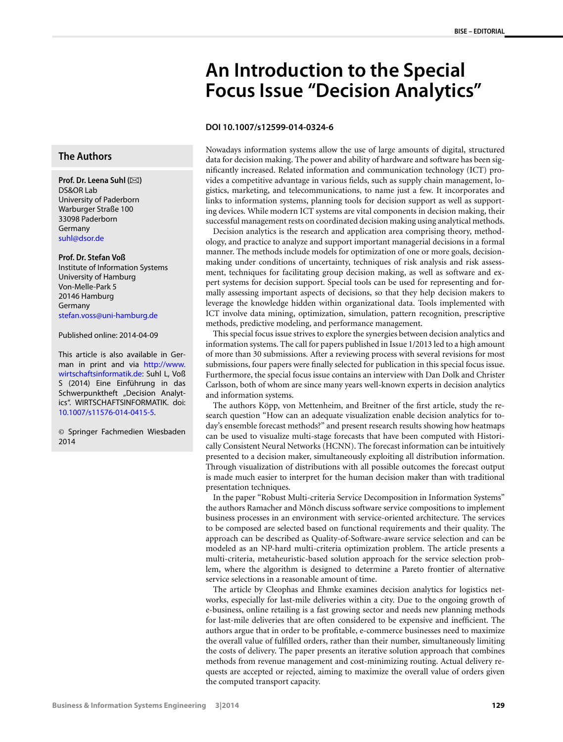## **An Introduction to the Special Focus Issue "Decision Analytics"**

## **DOI 10.1007/s12599-014-0324-6**

Nowadays information systems allow the use of large amounts of digital, structured data for decision making. The power and ability of hardware and software has been significantly increased. Related information and communication technology (ICT) provides a competitive advantage in various fields, such as supply chain management, logistics, marketing, and telecommunications, to name just a few. It incorporates and links to information systems, planning tools for decision support as well as supporting devices. While modern ICT systems are vital components in decision making, their successful management rests on coordinated decision making using analytical methods.

Decision analytics is the research and application area comprising theory, methodology, and practice to analyze and support important managerial decisions in a formal manner. The methods include models for optimization of one or more goals, decisionmaking under conditions of uncertainty, techniques of risk analysis and risk assessment, techniques for facilitating group decision making, as well as software and expert systems for decision support. Special tools can be used for representing and formally assessing important aspects of decisions, so that they help decision makers to leverage the knowledge hidden within organizational data. Tools implemented with ICT involve data mining, optimization, simulation, pattern recognition, prescriptive methods, predictive modeling, and performance management.

This special focus issue strives to explore the synergies between decision analytics and information systems. The call for papers published in Issue 1/2013 led to a high amount of more than 30 submissions. After a reviewing process with several revisions for most submissions, four papers were finally selected for publication in this special focus issue. Furthermore, the special focus issue contains an interview with Dan Dolk and Christer Carlsson, both of whom are since many years well-known experts in decision analytics and information systems.

The authors Köpp, von Mettenheim, and Breitner of the first article, study the research question "How can an adequate visualization enable decision analytics for today's ensemble forecast methods?" and present research results showing how heatmaps can be used to visualize multi-stage forecasts that have been computed with Historically Consistent Neural Networks (HCNN). The forecast information can be intuitively presented to a decision maker, simultaneously exploiting all distribution information. Through visualization of distributions with all possible outcomes the forecast output is made much easier to interpret for the human decision maker than with traditional presentation techniques.

In the paper "Robust Multi-criteria Service Decomposition in Information Systems" the authors Ramacher and Mönch discuss software service compositions to implement business processes in an environment with service-oriented architecture. The services to be composed are selected based on functional requirements and their quality. The approach can be described as Quality-of-Software-aware service selection and can be modeled as an NP-hard multi-criteria optimization problem. The article presents a multi-criteria, metaheuristic-based solution approach for the service selection problem, where the algorithm is designed to determine a Pareto frontier of alternative service selections in a reasonable amount of time.

The article by Cleophas and Ehmke examines decision analytics for logistics networks, especially for last-mile deliveries within a city. Due to the ongoing growth of e-business, online retailing is a fast growing sector and needs new planning methods for last-mile deliveries that are often considered to be expensive and inefficient. The authors argue that in order to be profitable, e-commerce businesses need to maximize the overall value of fulfilled orders, rather than their number, simultaneously limiting the costs of delivery. The paper presents an iterative solution approach that combines methods from revenue management and cost-minimizing routing. Actual delivery requests are accepted or rejected, aiming to maximize the overall value of orders given the computed transport capacity.

## **The Authors**

**Prof. Dr. Leena Suhl (⊠)** DS&OR Lab University of Paderborn Warburger Straße 100 33098 Paderborn Germany [suhl@dsor.de](mailto:suhl@dsor.de)

**Prof. Dr. Stefan Voß**

Institute of Information Systems University of Hamburg Von-Melle-Park 5 20146 Hamburg Germany [stefan.voss@uni-hamburg.de](mailto:stefan.voss@uni-hamburg.de)

Published online: 2014-04-09

This article is also available in German in print and via [http://www.](http://www.wirtschaftsinformatik.de) [wirtschaftsinformatik.de:](http://www.wirtschaftsinformatik.de) Suhl L, Voß S (2014) Eine Einführung in das Schwerpunktheft "Decision Analytics". WIRTSCHAFTSINFORMATIK. doi: [10.1007/s11576-014-0415-5.](http://dx.doi.org/10.1007/s11576-014-0415-5)

© Springer Fachmedien Wiesbaden 2014